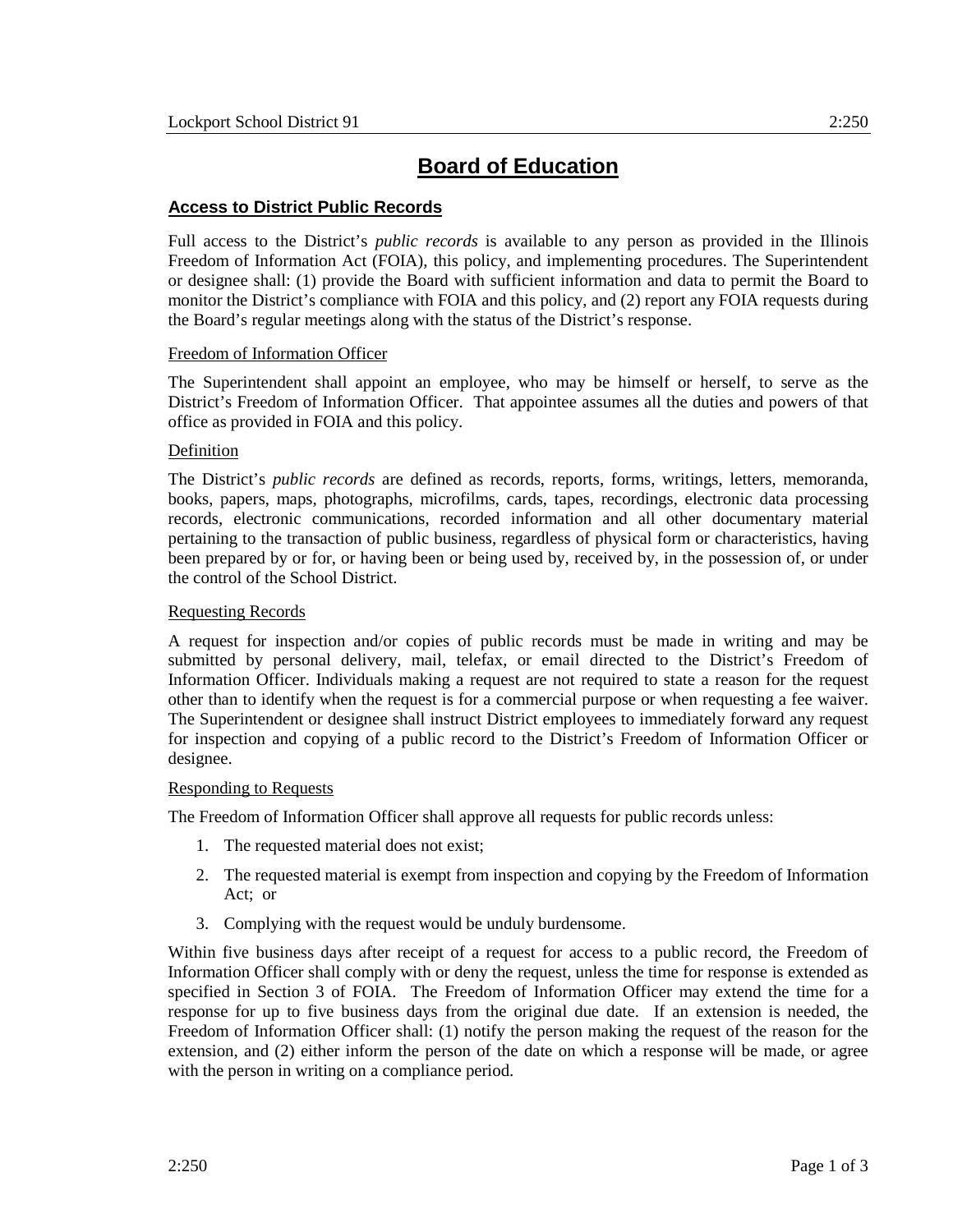# **Board of Education**

## **Access to District Public Records**

Full access to the District's *public records* is available to any person as provided in the Illinois Freedom of Information Act (FOIA), this policy, and implementing procedures. The Superintendent or designee shall: (1) provide the Board with sufficient information and data to permit the Board to monitor the District's compliance with FOIA and this policy, and (2) report any FOIA requests during the Board's regular meetings along with the status of the District's response.

## Freedom of Information Officer

The Superintendent shall appoint an employee, who may be himself or herself, to serve as the District's Freedom of Information Officer. That appointee assumes all the duties and powers of that office as provided in FOIA and this policy.

## Definition

The District's *public records* are defined as records, reports, forms, writings, letters, memoranda, books, papers, maps, photographs, microfilms, cards, tapes, recordings, electronic data processing records, electronic communications, recorded information and all other documentary material pertaining to the transaction of public business, regardless of physical form or characteristics, having been prepared by or for, or having been or being used by, received by, in the possession of, or under the control of the School District.

## Requesting Records

A request for inspection and/or copies of public records must be made in writing and may be submitted by personal delivery, mail, telefax, or email directed to the District's Freedom of Information Officer. Individuals making a request are not required to state a reason for the request other than to identify when the request is for a commercial purpose or when requesting a fee waiver. The Superintendent or designee shall instruct District employees to immediately forward any request for inspection and copying of a public record to the District's Freedom of Information Officer or designee.

#### Responding to Requests

The Freedom of Information Officer shall approve all requests for public records unless:

- 1. The requested material does not exist;
- 2. The requested material is exempt from inspection and copying by the Freedom of Information Act; or
- 3. Complying with the request would be unduly burdensome.

Within five business days after receipt of a request for access to a public record, the Freedom of Information Officer shall comply with or deny the request, unless the time for response is extended as specified in Section 3 of FOIA. The Freedom of Information Officer may extend the time for a response for up to five business days from the original due date. If an extension is needed, the Freedom of Information Officer shall: (1) notify the person making the request of the reason for the extension, and (2) either inform the person of the date on which a response will be made, or agree with the person in writing on a compliance period.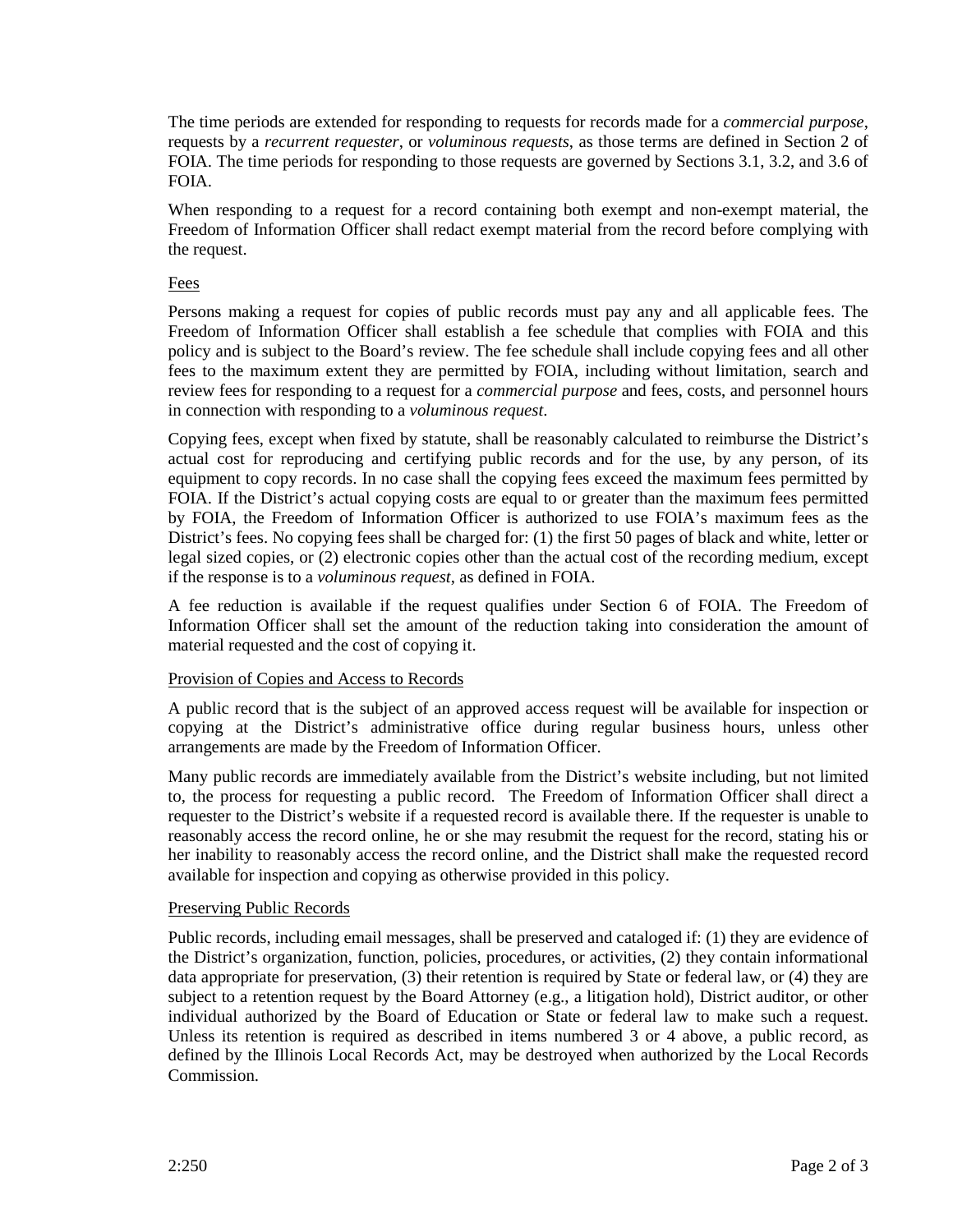The time periods are extended for responding to requests for records made for a *commercial purpose*, requests by a *recurrent requester*, or *voluminous requests*, as those terms are defined in Section 2 of FOIA. The time periods for responding to those requests are governed by Sections 3.1, 3.2, and 3.6 of FOIA.

When responding to a request for a record containing both exempt and non-exempt material, the Freedom of Information Officer shall redact exempt material from the record before complying with the request.

#### Fees

Persons making a request for copies of public records must pay any and all applicable fees. The Freedom of Information Officer shall establish a fee schedule that complies with FOIA and this policy and is subject to the Board's review. The fee schedule shall include copying fees and all other fees to the maximum extent they are permitted by FOIA, including without limitation, search and review fees for responding to a request for a *commercial purpose* and fees, costs, and personnel hours in connection with responding to a *voluminous request*.

Copying fees, except when fixed by statute, shall be reasonably calculated to reimburse the District's actual cost for reproducing and certifying public records and for the use, by any person, of its equipment to copy records. In no case shall the copying fees exceed the maximum fees permitted by FOIA. If the District's actual copying costs are equal to or greater than the maximum fees permitted by FOIA, the Freedom of Information Officer is authorized to use FOIA's maximum fees as the District's fees. No copying fees shall be charged for: (1) the first 50 pages of black and white, letter or legal sized copies, or (2) electronic copies other than the actual cost of the recording medium, except if the response is to a *voluminous request*, as defined in FOIA.

A fee reduction is available if the request qualifies under Section 6 of FOIA. The Freedom of Information Officer shall set the amount of the reduction taking into consideration the amount of material requested and the cost of copying it.

#### Provision of Copies and Access to Records

A public record that is the subject of an approved access request will be available for inspection or copying at the District's administrative office during regular business hours, unless other arrangements are made by the Freedom of Information Officer.

Many public records are immediately available from the District's website including, but not limited to, the process for requesting a public record. The Freedom of Information Officer shall direct a requester to the District's website if a requested record is available there. If the requester is unable to reasonably access the record online, he or she may resubmit the request for the record, stating his or her inability to reasonably access the record online, and the District shall make the requested record available for inspection and copying as otherwise provided in this policy.

#### Preserving Public Records

Public records, including email messages, shall be preserved and cataloged if: (1) they are evidence of the District's organization, function, policies, procedures, or activities, (2) they contain informational data appropriate for preservation, (3) their retention is required by State or federal law, or (4) they are subject to a retention request by the Board Attorney (e.g., a litigation hold), District auditor, or other individual authorized by the Board of Education or State or federal law to make such a request. Unless its retention is required as described in items numbered 3 or 4 above, a public record, as defined by the Illinois Local Records Act, may be destroyed when authorized by the Local Records Commission.